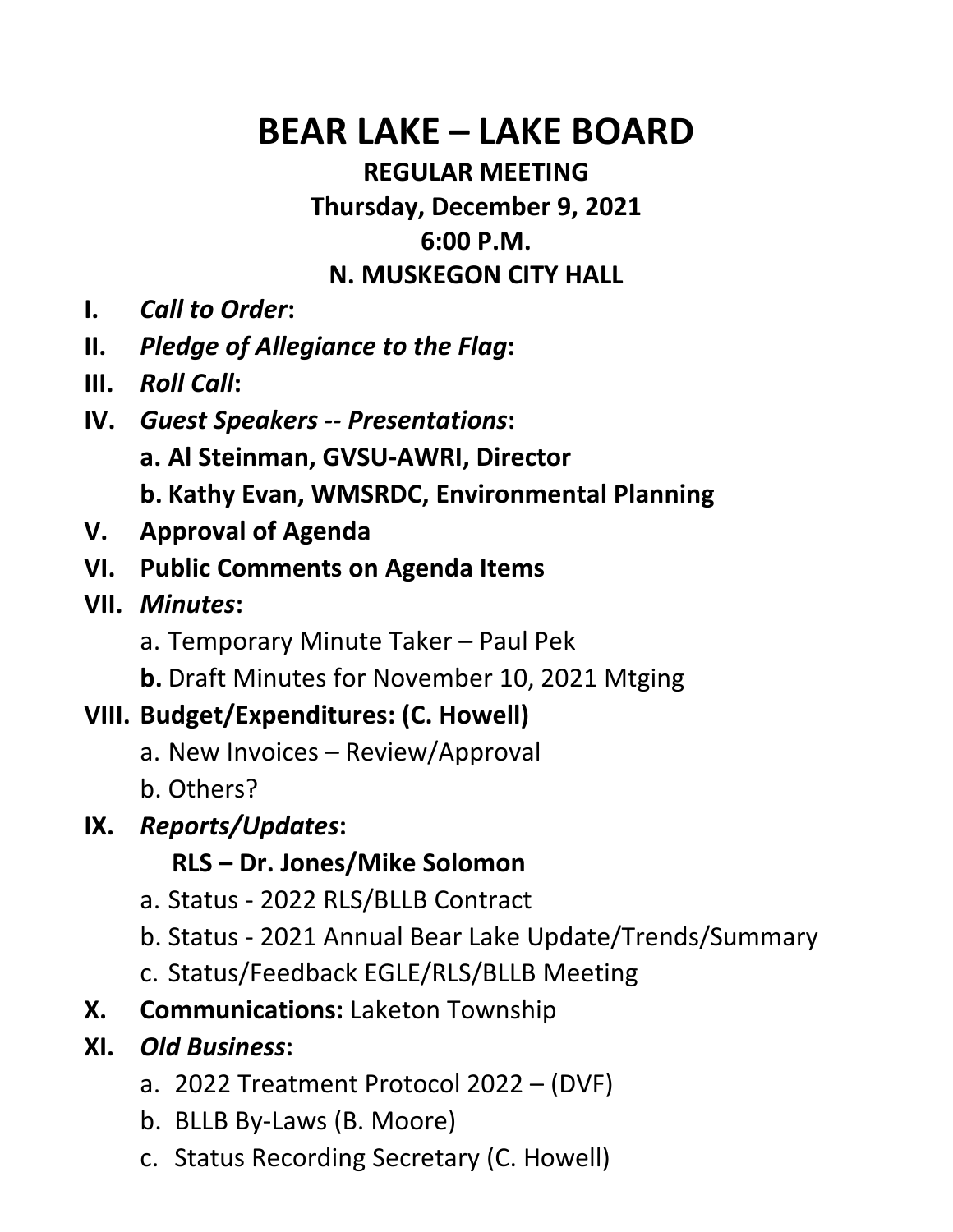# BEAR LAKE – LAKE BOARD

#### REGULAR MEETING Thursday, December 9, 2021 6:00 P.M. N. MUSKEGON CITY HALL

- I. Call to Order:
- II. Pledge of Allegiance to the Flag:
- III. Roll Call:
- IV. Guest Speakers -- Presentations: a. Al Steinman, GVSU-AWRI, Director b. Kathy Evan, WMSRDC, Environmental Planning
- V. Approval of Agenda
- VI. Public Comments on Agenda Items
- VII. Minutes:
	- a. Temporary Minute Taker Paul Pek
	- b. Draft Minutes for November 10, 2021 Mtging

### VIII. Budget/Expenditures: (C. Howell)

- a. New Invoices Review/Approval
- b. Others?

# IX. Reports/Updates:

# RLS – Dr. Jones/Mike Solomon

- a. Status 2022 RLS/BLLB Contract
- b. Status 2021 Annual Bear Lake Update/Trends/Summary
- c. Status/Feedback EGLE/RLS/BLLB Meeting
- X. Communications: Laketon Township

# XI. Old Business:

- a. 2022 Treatment Protocol 2022 (DVF)
- b. BLLB By-Laws (B. Moore)
- c. Status Recording Secretary (C. Howell)